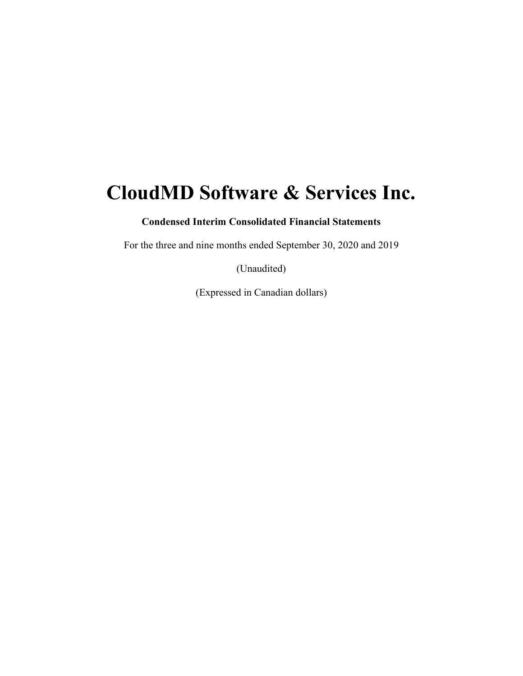# **CloudMD Software & Services Inc.**

**Condensed Interim Consolidated Financial Statements** 

For the three and nine months ended September 30, 2020 and 2019

(Unaudited)

(Expressed in Canadian dollars)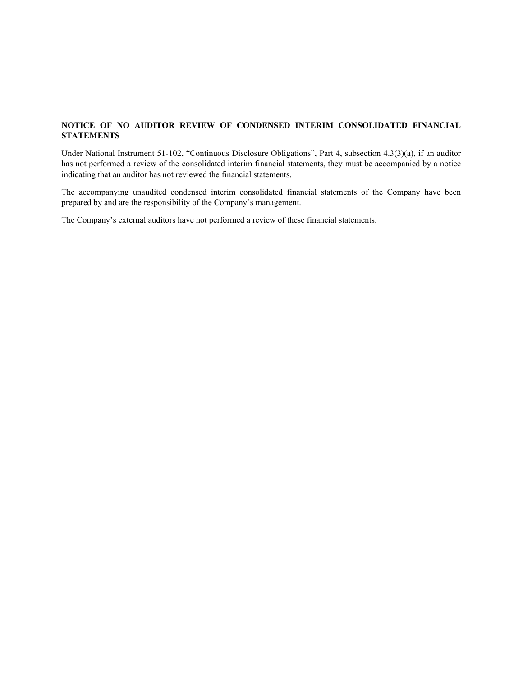## **NOTICE OF NO AUDITOR REVIEW OF CONDENSED INTERIM CONSOLIDATED FINANCIAL STATEMENTS**

Under National Instrument 51-102, "Continuous Disclosure Obligations", Part 4, subsection 4.3(3)(a), if an auditor has not performed a review of the consolidated interim financial statements, they must be accompanied by a notice indicating that an auditor has not reviewed the financial statements.

The accompanying unaudited condensed interim consolidated financial statements of the Company have been prepared by and are the responsibility of the Company's management.

The Company's external auditors have not performed a review of these financial statements.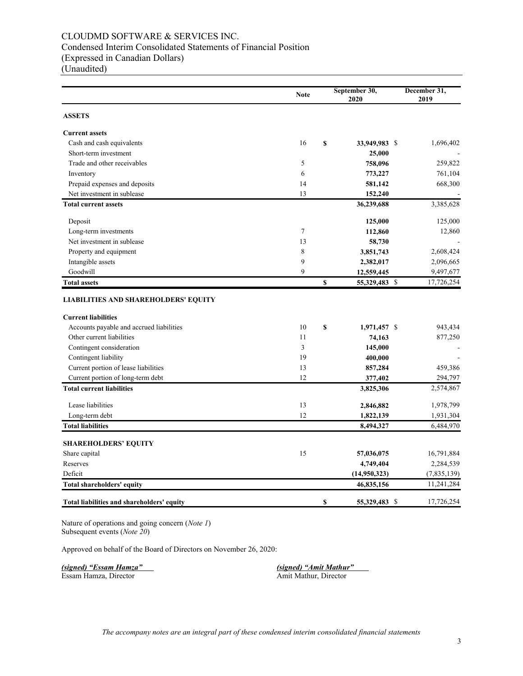## CLOUDMD SOFTWARE & SERVICES INC. Condensed Interim Consolidated Statements of Financial Position (Expressed in Canadian Dollars)

(Unaudited)

|                                             | <b>Note</b> | September 30,<br>2020 | December 31,<br>2019 |
|---------------------------------------------|-------------|-----------------------|----------------------|
| <b>ASSETS</b>                               |             |                       |                      |
| <b>Current assets</b>                       |             |                       |                      |
| Cash and cash equivalents                   | 16          | \$<br>33,949,983 \$   | 1,696,402            |
| Short-term investment                       |             | 25,000                |                      |
| Trade and other receivables                 | 5           | 758,096               | 259,822              |
| Inventory                                   | 6           | 773,227               | 761,104              |
| Prepaid expenses and deposits               | 14          | 581,142               | 668,300              |
| Net investment in sublease                  | 13          | 152,240               |                      |
| <b>Total current assets</b>                 |             | 36,239,688            | 3,385,628            |
| Deposit                                     |             | 125,000               | 125,000              |
| Long-term investments                       | 7           | 112,860               | 12,860               |
| Net investment in sublease                  | 13          | 58,730                |                      |
| Property and equipment                      | 8           | 3,851,743             | 2,608,424            |
| Intangible assets                           | 9           | 2,382,017             | 2,096,665            |
| Goodwill                                    | 9           | 12,559,445            | 9,497,677            |
| <b>Total assets</b>                         |             | \$<br>55,329,483 \$   | 17,726,254           |
| <b>LIABILITIES AND SHAREHOLDERS' EQUITY</b> |             |                       |                      |
| <b>Current liabilities</b>                  |             |                       |                      |
| Accounts payable and accrued liabilities    | 10          | \$<br>1,971,457 \$    | 943,434              |
| Other current liabilities                   | 11          | 74,163                | 877,250              |
| Contingent consideration                    | 3           | 145,000               |                      |
| Contingent liability                        | 19          | 400,000               |                      |
| Current portion of lease liabilities        | 13          | 857,284               | 459,386              |
| Current portion of long-term debt           | 12          | 377,402               | 294,797              |
| <b>Total current liabilities</b>            |             | 3,825,306             | 2,574,867            |
| Lease liabilities                           | 13          | 2,846,882             | 1,978,799            |
| Long-term debt                              | 12          | 1,822,139             | 1,931,304            |
| <b>Total liabilities</b>                    |             | 8,494,327             | 6,484,970            |
| <b>SHAREHOLDERS' EQUITY</b>                 |             |                       |                      |
| Share capital                               | 15          | 57,036,075            | 16,791,884           |
| Reserves                                    |             | 4,749,404             | 2,284,539            |
| Deficit                                     |             | (14,950,323)          | (7,835,139)          |
| Total shareholders' equity                  |             | 46,835,156            | 11,241,284           |
| Total liabilities and shareholders' equity  |             | \$<br>55,329,483 \$   | 17,726,254           |

Nature of operations and going concern (*Note 1*) Subsequent events (*Note 20*)

Approved on behalf of the Board of Directors on November 26, 2020:

*(signed) "Essam Hamza"**(signed) "Amit Mathur"*

Essam Hamza, Director **Amit Mathur, Director** Amit Mathur, Director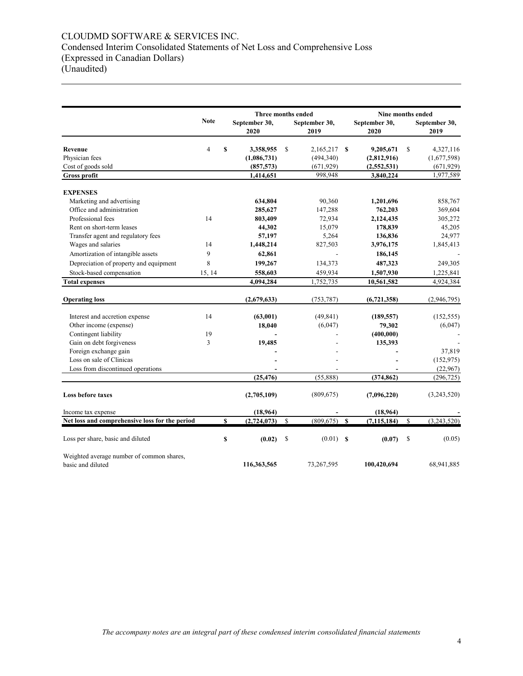## CLOUDMD SOFTWARE & SERVICES INC. Condensed Interim Consolidated Statements of Net Loss and Comprehensive Loss (Expressed in Canadian Dollars) (Unaudited)

|                                                   |                | Three months ended |                       |               |                       |              | Nine months ended     |             |                        |  |
|---------------------------------------------------|----------------|--------------------|-----------------------|---------------|-----------------------|--------------|-----------------------|-------------|------------------------|--|
|                                                   | <b>Note</b>    |                    | September 30,<br>2020 |               | September 30,<br>2019 |              | September 30,<br>2020 |             | September 30,<br>2019  |  |
| Revenue                                           | $\overline{4}$ | \$                 | 3,358,955             | \$            | 2,165,217             | <b>S</b>     | 9,205,671             | \$          | 4,327,116              |  |
| Physician fees                                    |                |                    | (1,086,731)           |               | (494,340)             |              | (2,812,916)           |             | (1,677,598)            |  |
| Cost of goods sold                                |                |                    | (857, 573)            |               | (671, 929)            |              | (2,552,531)           |             | (671, 929)             |  |
| Gross profit                                      |                |                    | 1,414,651             |               | 998,948               |              | 3,840,224             |             | 1,977,589              |  |
| <b>EXPENSES</b>                                   |                |                    |                       |               |                       |              |                       |             |                        |  |
| Marketing and advertising                         |                |                    | 634,804               |               | 90,360                |              | 1,201,696             |             | 858,767                |  |
| Office and administration                         |                |                    | 285,627               |               | 147,288               |              | 762,203               |             | 369,604                |  |
| Professional fees                                 | 14             |                    | 803,409               |               | 72,934                |              | 2,124,435             |             | 305,272                |  |
| Rent on short-term leases                         |                |                    | 44,302                |               | 15,079                |              | 178,839               |             | 45,205                 |  |
| Transfer agent and regulatory fees                |                |                    | 57,197                |               | 5,264                 |              | 136,836               |             | 24,977                 |  |
| Wages and salaries                                | 14             |                    | 1,448,214             |               | 827,503               |              | 3,976,175             |             | 1,845,413              |  |
| Amortization of intangible assets                 | 9              |                    | 62,861                |               |                       |              | 186,145               |             |                        |  |
| Depreciation of property and equipment            | 8              |                    | 199,267               |               | 134,373               |              | 487,323               |             | 249,305                |  |
| Stock-based compensation                          | 15, 14         |                    | 558,603               |               | 459,934               |              | 1,507,930             |             | 1,225,841              |  |
| <b>Total expenses</b>                             |                |                    | 4,094,284             |               | 1,752,735             |              | 10,561,582            |             | 4,924,384              |  |
| <b>Operating loss</b>                             |                |                    | (2,679,633)           |               | (753, 787)            |              | (6, 721, 358)         |             | (2,946,795)            |  |
|                                                   |                |                    |                       |               |                       |              |                       |             |                        |  |
| Interest and accretion expense                    | 14             |                    | (63,001)              |               | (49, 841)             |              | (189, 557)            |             | (152, 555)             |  |
| Other income (expense)                            |                |                    | 18,040                |               | (6,047)               |              | 79,302                |             | (6,047)                |  |
| Contingent liability                              | 19             |                    |                       |               |                       |              | (400,000)             |             |                        |  |
| Gain on debt forgiveness                          | 3              |                    | 19,485                |               |                       |              | 135,393               |             |                        |  |
| Foreign exchange gain<br>Loss on sale of Clinicas |                |                    |                       |               |                       |              |                       |             | 37,819                 |  |
| Loss from discontinued operations                 |                |                    |                       |               |                       |              |                       |             | (152, 975)<br>(22,967) |  |
|                                                   |                |                    | (25, 476)             |               | (55,888)              |              | (374, 862)            |             | (296, 725)             |  |
| <b>Loss before taxes</b>                          |                |                    | (2,705,109)           |               | (809, 675)            |              | (7,096,220)           |             | (3,243,520)            |  |
| Income tax expense                                |                |                    | (18, 964)             |               |                       |              | (18,964)              |             |                        |  |
| Net loss and comprehensive loss for the period    |                | \$                 | (2,724,073)           | $\mathbb{S}$  | (809, 675)            | $\mathbf{s}$ | (7, 115, 184)         | $\mathbf S$ | (3,243,520)            |  |
| Loss per share, basic and diluted                 |                | \$                 | (0.02)                | <sup>\$</sup> | (0.01)                | $\mathbf{s}$ | (0.07)                | S           | (0.05)                 |  |
| Weighted average number of common shares,         |                |                    |                       |               |                       |              |                       |             |                        |  |
| basic and diluted                                 |                |                    | 116,363,565           |               | 73,267,595            |              | 100,420,694           |             | 68,941,885             |  |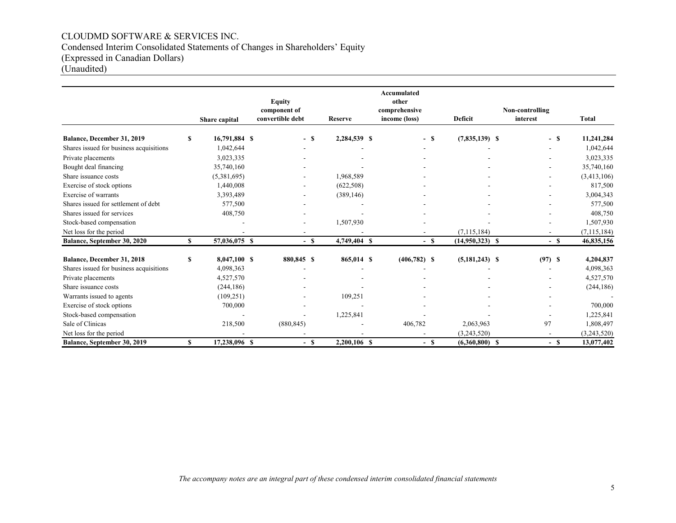## CLOUDMD SOFTWARE & SERVICES INC. Condensed Interim Consolidated Statements of Changes in Shareholders' Equity (Expressed in Canadian Dollars) (Unaudited)

|                                         |    |               | <b>Equity</b>    |        |                | <b>Accumulated</b><br>other |                   |                          |               |
|-----------------------------------------|----|---------------|------------------|--------|----------------|-----------------------------|-------------------|--------------------------|---------------|
|                                         |    |               | component of     |        |                | comprehensive               |                   | Non-controlling          |               |
|                                         |    | Share capital | convertible debt |        | <b>Reserve</b> | income (loss)               | Deficit           | interest                 | <b>Total</b>  |
| Balance, December 31, 2019              | S  | 16,791,884 \$ |                  | $-$ \$ | 2,284,539 \$   | $-$ \$                      | $(7,835,139)$ \$  | - \$                     | 11,241,284    |
| Shares issued for business acquisitions |    | 1,042,644     |                  |        |                |                             |                   |                          | 1,042,644     |
| Private placements                      |    | 3,023,335     |                  |        |                |                             |                   |                          | 3,023,335     |
| Bought deal financing                   |    | 35,740,160    |                  |        |                |                             |                   |                          | 35,740,160    |
| Share issuance costs                    |    | (5,381,695)   |                  |        | 1,968,589      |                             |                   |                          | (3,413,106)   |
| Exercise of stock options               |    | 1,440,008     |                  |        | (622, 508)     |                             |                   |                          | 817,500       |
| Exercise of warrants                    |    | 3,393,489     |                  |        | (389, 146)     |                             |                   |                          | 3,004,343     |
| Shares issued for settlement of debt    |    | 577,500       |                  |        |                |                             |                   |                          | 577,500       |
| Shares issued for services              |    | 408,750       |                  |        |                |                             |                   |                          | 408,750       |
| Stock-based compensation                |    |               |                  |        | 1,507,930      |                             |                   | ۰                        | 1,507,930     |
| Net loss for the period                 |    |               |                  |        |                |                             | (7, 115, 184)     | $\blacksquare$           | (7, 115, 184) |
| Balance, September 30, 2020             | \$ | 57,036,075 \$ |                  | $-$ \$ | 4,749,404 \$   | $-$ \$                      | $(14,950,323)$ \$ | $-$ \$                   | 46,835,156    |
| Balance, December 31, 2018              | S  | 8,047,100 \$  | 880,845 \$       |        | 865,014 \$     | $(406, 782)$ \$             | $(5,181,243)$ \$  | (97) S                   | 4,204,837     |
| Shares issued for business acquisitions |    | 4,098,363     |                  |        |                |                             |                   |                          | 4,098,363     |
| Private placements                      |    | 4,527,570     |                  |        |                |                             |                   |                          | 4,527,570     |
| Share issuance costs                    |    | (244, 186)    |                  |        |                |                             |                   |                          | (244, 186)    |
| Warrants issued to agents               |    | (109, 251)    |                  |        | 109,251        |                             |                   |                          |               |
| Exercise of stock options               |    | 700,000       |                  |        |                |                             |                   |                          | 700,000       |
| Stock-based compensation                |    |               |                  |        | 1,225,841      |                             |                   |                          | 1,225,841     |
| Sale of Clinicas                        |    | 218,500       | (880, 845)       |        |                | 406,782                     | 2,063,963         | 97                       | 1,808,497     |
| Net loss for the period                 |    |               |                  |        |                |                             | (3,243,520)       | $\overline{\phantom{a}}$ | (3,243,520)   |
| Balance, September 30, 2019             | S  | 17,238,096 \$ |                  | $-$ \$ | 2,200,106 \$   | $-$ \$                      | $(6,360,800)$ \$  | $-$ \$                   | 13,077,402    |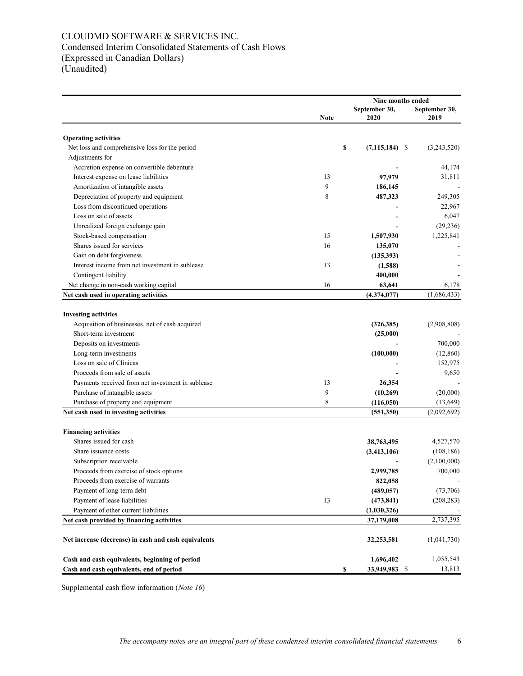## CLOUDMD SOFTWARE & SERVICES INC. Condensed Interim Consolidated Statements of Cash Flows (Expressed in Canadian Dollars) (Unaudited)

|                                                      |             | Nine months ended                 |                       |  |  |
|------------------------------------------------------|-------------|-----------------------------------|-----------------------|--|--|
|                                                      | <b>Note</b> | September 30,<br>2020             | September 30,<br>2019 |  |  |
| <b>Operating activities</b>                          |             |                                   |                       |  |  |
| Net loss and comprehensive loss for the period       |             | \$<br>$(7,115,184)$ \$            | (3,243,520)           |  |  |
| Adjustments for                                      |             |                                   |                       |  |  |
| Accretion expense on convertible debenture           |             |                                   | 44,174                |  |  |
| Interest expense on lease liabilities                | 13          | 97,979                            | 31,811                |  |  |
| Amortization of intangible assets                    | 9           | 186,145                           |                       |  |  |
| Depreciation of property and equipment               | 8           | 487,323                           | 249,305               |  |  |
| Loss from discontinued operations                    |             |                                   | 22,967                |  |  |
| Loss on sale of assets                               |             |                                   | 6,047                 |  |  |
| Unrealized foreign exchange gain                     |             |                                   | (29, 236)             |  |  |
| Stock-based compensation                             | 15          | 1,507,930                         | 1,225,841             |  |  |
| Shares issued for services                           | 16          | 135,070                           |                       |  |  |
| Gain on debt forgiveness                             |             | (135,393)                         |                       |  |  |
| Interest income from net investment in sublease      | 13          | (1,588)                           |                       |  |  |
| Contingent liability                                 |             | 400,000                           |                       |  |  |
| Net change in non-cash working capital               | 16          | 63,641                            | 6,178                 |  |  |
| Net cash used in operating activities                |             | (4,374,077)                       | (1,686,433)           |  |  |
|                                                      |             |                                   |                       |  |  |
| <b>Investing activities</b>                          |             |                                   |                       |  |  |
| Acquisition of businesses, net of cash acquired      |             | (326, 385)                        | (2,908,808)           |  |  |
| Short-term investment                                |             | (25,000)                          |                       |  |  |
| Deposits on investments                              |             |                                   | 700,000               |  |  |
| Long-term investments                                |             | (100,000)                         | (12,860)              |  |  |
| Loss on sale of Clinicas                             |             |                                   | 152,975               |  |  |
| Proceeds from sale of assets                         |             |                                   | 9,650                 |  |  |
| Payments received from net investment in sublease    | 13          | 26,354                            |                       |  |  |
| Purchase of intangible assets                        | 9           | (10,269)                          | (20,000)              |  |  |
| Purchase of property and equipment                   | 8           | (116,050)                         | (13, 649)             |  |  |
| Net cash used in investing activities                |             | (551,350)                         | (2,092,692)           |  |  |
|                                                      |             |                                   |                       |  |  |
| <b>Financing activities</b>                          |             |                                   |                       |  |  |
| Shares issued for cash                               |             | 38,763,495                        | 4,527,570             |  |  |
| Share issuance costs                                 |             | (3, 413, 106)                     | (108, 186)            |  |  |
| Subscription receivable                              |             |                                   | (2,100,000)           |  |  |
| Proceeds from exercise of stock options              |             | 2,999,785                         | 700,000               |  |  |
| Proceeds from exercise of warrants                   |             | 822,058                           |                       |  |  |
| Payment of long-term debt                            |             | (489, 057)                        | (73,706)              |  |  |
| Payment of lease liabilities                         | 13          | (473, 841)                        | (208, 283)            |  |  |
| Payment of other current liabilities                 |             | (1,030,326)                       |                       |  |  |
| Net cash provided by financing activities            |             | 37,179,008                        | 2,737,395             |  |  |
|                                                      |             |                                   |                       |  |  |
| Net increase (decrease) in cash and cash equivalents |             | 32,253,581                        | (1,041,730)           |  |  |
| Cash and cash equivalents, beginning of period       |             | 1,696,402                         | 1,055,543             |  |  |
| Cash and cash equivalents, end of period             |             | $\boldsymbol{s}$<br>33,949,983 \$ | 13,813                |  |  |

Supplemental cash flow information (*Note 16*)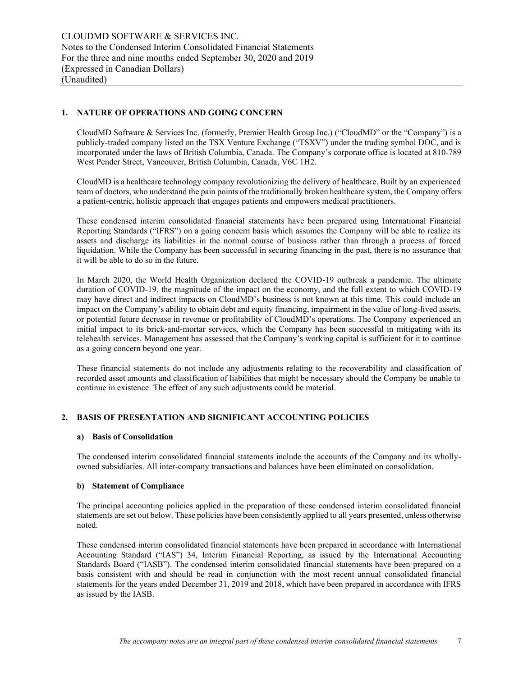## **1. NATURE OF OPERATIONS AND GOING CONCERN**

CloudMD Software & Services Inc. (formerly, Premier Health Group Inc.) ("CloudMD" or the "Company") is a publicly-traded company listed on the TSX Venture Exchange ("TSXV") under the trading symbol DOC, and is incorporated under the laws of British Columbia, Canada. The Company's corporate office is located at 810-789 West Pender Street, Vancouver, British Columbia, Canada, V6C 1H2.

CloudMD is a healthcare technology company revolutionizing the delivery of healthcare. Built by an experienced team of doctors, who understand the pain points of the traditionally broken healthcare system, the Company offers a patient-centric, holistic approach that engages patients and empowers medical practitioners.

These condensed interim consolidated financial statements have been prepared using International Financial Reporting Standards ("IFRS") on a going concern basis which assumes the Company will be able to realize its assets and discharge its liabilities in the normal course of business rather than through a process of forced liquidation. While the Company has been successful in securing financing in the past, there is no assurance that it will be able to do so in the future.

In March 2020, the World Health Organization declared the COVID-19 outbreak a pandemic. The ultimate duration of COVID-19, the magnitude of the impact on the economy, and the full extent to which COVID-19 may have direct and indirect impacts on CloudMD's business is not known at this time. This could include an impact on the Company's ability to obtain debt and equity financing, impairment in the value of long-lived assets, or potential future decrease in revenue or profitability of CloudMD's operations. The Company experienced an initial impact to its brick-and-mortar services, which the Company has been successful in mitigating with its telehealth services. Management has assessed that the Company's working capital is sufficient for it to continue as a going concern beyond one year.

These financial statements do not include any adjustments relating to the recoverability and classification of recorded asset amounts and classification of liabilities that might be necessary should the Company be unable to continue in existence. The effect of any such adjustments could be material.

## **2. BASIS OF PRESENTATION AND SIGNIFICANT ACCOUNTING POLICIES**

#### **a) Basis of Consolidation**

The condensed interim consolidated financial statements include the accounts of the Company and its whollyowned subsidiaries. All inter-company transactions and balances have been eliminated on consolidation.

#### **b) Statement of Compliance**

The principal accounting policies applied in the preparation of these condensed interim consolidated financial statements are set out below. These policies have been consistently applied to all years presented, unless otherwise noted.

These condensed interim consolidated financial statements have been prepared in accordance with International Accounting Standard ("IAS") 34, Interim Financial Reporting, as issued by the International Accounting Standards Board ("IASB"). The condensed interim consolidated financial statements have been prepared on a basis consistent with and should be read in conjunction with the most recent annual consolidated financial statements for the years ended December 31, 2019 and 2018, which have been prepared in accordance with IFRS as issued by the IASB.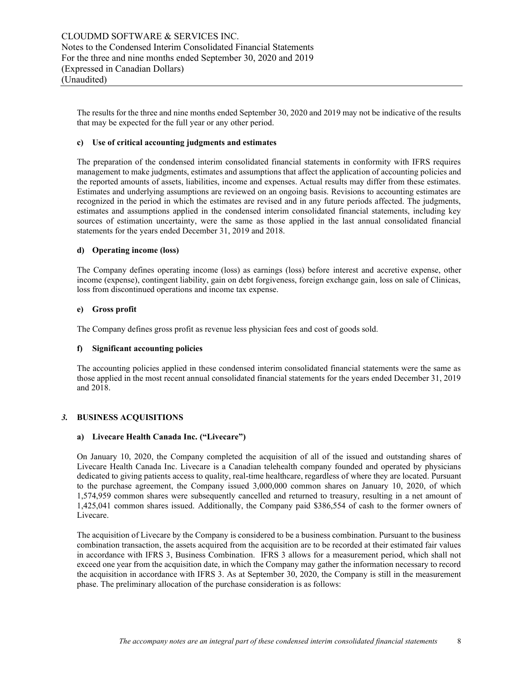The results for the three and nine months ended September 30, 2020 and 2019 may not be indicative of the results that may be expected for the full year or any other period.

## **c) Use of critical accounting judgments and estimates**

The preparation of the condensed interim consolidated financial statements in conformity with IFRS requires management to make judgments, estimates and assumptions that affect the application of accounting policies and the reported amounts of assets, liabilities, income and expenses. Actual results may differ from these estimates. Estimates and underlying assumptions are reviewed on an ongoing basis. Revisions to accounting estimates are recognized in the period in which the estimates are revised and in any future periods affected. The judgments, estimates and assumptions applied in the condensed interim consolidated financial statements, including key sources of estimation uncertainty, were the same as those applied in the last annual consolidated financial statements for the years ended December 31, 2019 and 2018.

### **d) Operating income (loss)**

The Company defines operating income (loss) as earnings (loss) before interest and accretive expense, other income (expense), contingent liability, gain on debt forgiveness, foreign exchange gain, loss on sale of Clinicas, loss from discontinued operations and income tax expense.

## **e) Gross profit**

The Company defines gross profit as revenue less physician fees and cost of goods sold.

#### **f) Significant accounting policies**

The accounting policies applied in these condensed interim consolidated financial statements were the same as those applied in the most recent annual consolidated financial statements for the years ended December 31, 2019 and 2018.

## *3.* **BUSINESS ACQUISITIONS**

## **a) Livecare Health Canada Inc. ("Livecare")**

On January 10, 2020, the Company completed the acquisition of all of the issued and outstanding shares of Livecare Health Canada Inc. Livecare is a Canadian telehealth company founded and operated by physicians dedicated to giving patients access to quality, real-time healthcare, regardless of where they are located. Pursuant to the purchase agreement, the Company issued 3,000,000 common shares on January 10, 2020, of which 1,574,959 common shares were subsequently cancelled and returned to treasury, resulting in a net amount of 1,425,041 common shares issued. Additionally, the Company paid \$386,554 of cash to the former owners of Livecare.

The acquisition of Livecare by the Company is considered to be a business combination. Pursuant to the business combination transaction, the assets acquired from the acquisition are to be recorded at their estimated fair values in accordance with IFRS 3, Business Combination. IFRS 3 allows for a measurement period, which shall not exceed one year from the acquisition date, in which the Company may gather the information necessary to record the acquisition in accordance with IFRS 3. As at September 30, 2020, the Company is still in the measurement phase. The preliminary allocation of the purchase consideration is as follows: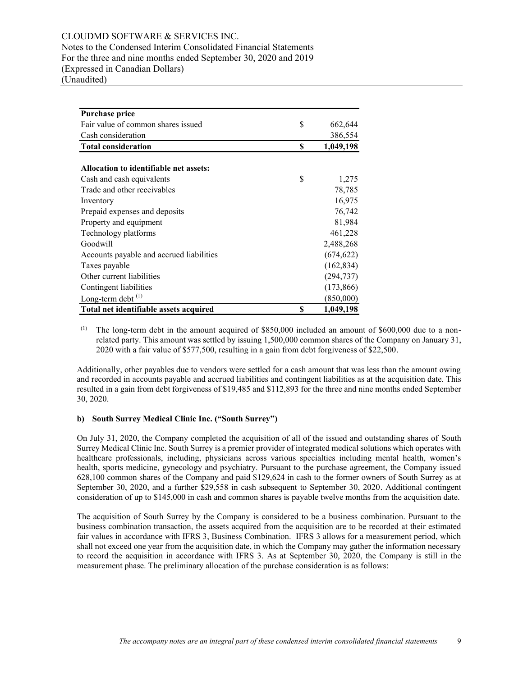CLOUDMD SOFTWARE & SERVICES INC. Notes to the Condensed Interim Consolidated Financial Statements For the three and nine months ended September 30, 2020 and 2019 (Expressed in Canadian Dollars) (Unaudited)

| <b>Purchase price</b>                    |    |            |
|------------------------------------------|----|------------|
| Fair value of common shares issued       | \$ | 662,644    |
| Cash consideration                       |    | 386,554    |
| <b>Total consideration</b>               | S  | 1,049,198  |
|                                          |    |            |
| Allocation to identifiable net assets:   |    |            |
| Cash and cash equivalents                | \$ | 1,275      |
| Trade and other receivables              |    | 78,785     |
| Inventory                                |    | 16,975     |
| Prepaid expenses and deposits            |    | 76,742     |
| Property and equipment                   |    | 81,984     |
| Technology platforms                     |    | 461,228    |
| Goodwill                                 |    | 2,488,268  |
| Accounts payable and accrued liabilities |    | (674, 622) |
| Taxes payable                            |    | (162, 834) |
| Other current liabilities                |    | (294, 737) |
| Contingent liabilities                   |    | (173, 866) |
| Long-term debt $^{(1)}$                  |    | (850,000)  |
| Total net identifiable assets acquired   | \$ | 1,049,198  |

(1) The long-term debt in the amount acquired of  $$850,000$  included an amount of  $$600,000$  due to a nonrelated party. This amount was settled by issuing 1,500,000 common shares of the Company on January 31, 2020 with a fair value of \$577,500, resulting in a gain from debt forgiveness of \$22,500.

Additionally, other payables due to vendors were settled for a cash amount that was less than the amount owing and recorded in accounts payable and accrued liabilities and contingent liabilities as at the acquisition date. This resulted in a gain from debt forgiveness of \$19,485 and \$112,893 for the three and nine months ended September 30, 2020.

## **b) South Surrey Medical Clinic Inc. ("South Surrey")**

On July 31, 2020, the Company completed the acquisition of all of the issued and outstanding shares of South Surrey Medical Clinic Inc. South Surrey is a premier provider of integrated medical solutions which operates with healthcare professionals, including, physicians across various specialties including mental health, women's health, sports medicine, gynecology and psychiatry. Pursuant to the purchase agreement, the Company issued 628,100 common shares of the Company and paid \$129,624 in cash to the former owners of South Surrey as at September 30, 2020, and a further \$29,558 in cash subsequent to September 30, 2020. Additional contingent consideration of up to \$145,000 in cash and common shares is payable twelve months from the acquisition date.

The acquisition of South Surrey by the Company is considered to be a business combination. Pursuant to the business combination transaction, the assets acquired from the acquisition are to be recorded at their estimated fair values in accordance with IFRS 3, Business Combination. IFRS 3 allows for a measurement period, which shall not exceed one year from the acquisition date, in which the Company may gather the information necessary to record the acquisition in accordance with IFRS 3. As at September 30, 2020, the Company is still in the measurement phase. The preliminary allocation of the purchase consideration is as follows: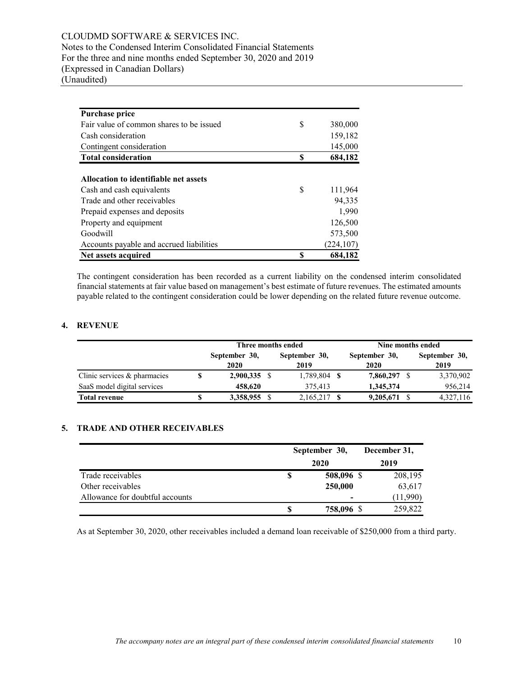## CLOUDMD SOFTWARE & SERVICES INC. Notes to the Condensed Interim Consolidated Financial Statements For the three and nine months ended September 30, 2020 and 2019 (Expressed in Canadian Dollars) (Unaudited)

| <b>Purchase price</b>                    |    |            |
|------------------------------------------|----|------------|
| Fair value of common shares to be issued | \$ | 380,000    |
| Cash consideration                       |    | 159,182    |
| Contingent consideration                 |    | 145,000    |
| <b>Total consideration</b>               | S  | 684,182    |
|                                          |    |            |
| Allocation to identifiable net assets    |    |            |
| Cash and cash equivalents                | \$ | 111,964    |
| Trade and other receivables              |    | 94,335     |
| Prepaid expenses and deposits            |    | 1,990      |
| Property and equipment                   |    | 126,500    |
| Goodwill                                 |    | 573,500    |
| Accounts payable and accrued liabilities |    | (224, 107) |
| Net assets acquired                      | S  | 684,182    |

The contingent consideration has been recorded as a current liability on the condensed interim consolidated financial statements at fair value based on management's best estimate of future revenues. The estimated amounts payable related to the contingent consideration could be lower depending on the related future revenue outcome.

## **4. REVENUE**

|                                 |                       | Three months ended    | Nine months ended |                       |  |                       |  |
|---------------------------------|-----------------------|-----------------------|-------------------|-----------------------|--|-----------------------|--|
|                                 | September 30,<br>2020 | September 30,<br>2019 |                   | September 30,<br>2020 |  | September 30,<br>2019 |  |
| Clinic services $\&$ pharmacies | $2,900,335$ \$        | 1,789,804             | - \$              | 7,860,297             |  | 3,370,902             |  |
| SaaS model digital services     | 458,620               | 375.413               |                   | 1,345,374             |  | 956,214               |  |
| <b>Total revenue</b>            | 3,358,955 \$          | 2,165,217             |                   | 9,205,671             |  | 4,327,116             |  |

## **5. TRADE AND OTHER RECEIVABLES**

|                                 | September 30,    |  |          |
|---------------------------------|------------------|--|----------|
|                                 | 2020             |  | 2019     |
| Trade receivables               | \$<br>508,096 \$ |  | 208,195  |
| Other receivables               | 250,000          |  | 63,617   |
| Allowance for doubtful accounts | -                |  | (11,990) |
|                                 | 758,096 \$       |  | 259,822  |

As at September 30, 2020, other receivables included a demand loan receivable of \$250,000 from a third party.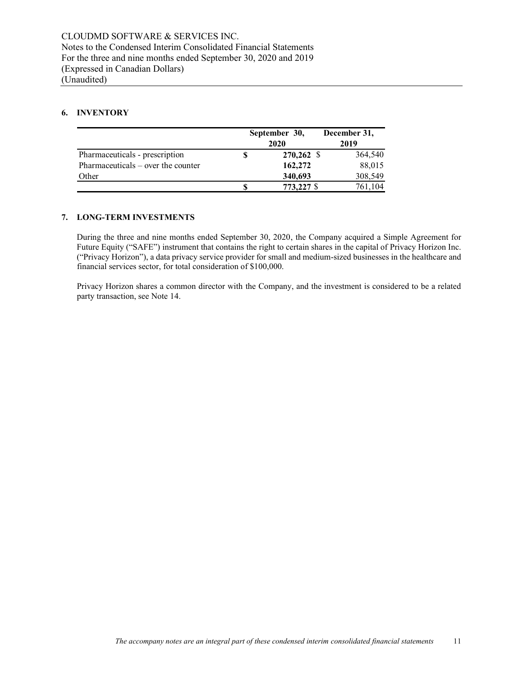## **6. INVENTORY**

|                                      | September 30,<br>2020 | December 31,<br>2019 |
|--------------------------------------|-----------------------|----------------------|
| Pharmaceuticals - prescription       | 270,262 \$            | 364,540              |
| Pharmaceuticals $-$ over the counter | 162,272               | 88,015               |
| Other                                | 340,693               | 308,549              |
|                                      | 773,227 \$            | 761.104              |

## **7. LONG-TERM INVESTMENTS**

During the three and nine months ended September 30, 2020, the Company acquired a Simple Agreement for Future Equity ("SAFE") instrument that contains the right to certain shares in the capital of Privacy Horizon Inc. ("Privacy Horizon"), a data privacy service provider for small and medium-sized businesses in the healthcare and financial services sector, for total consideration of \$100,000.

Privacy Horizon shares a common director with the Company, and the investment is considered to be a related party transaction, see Note 14.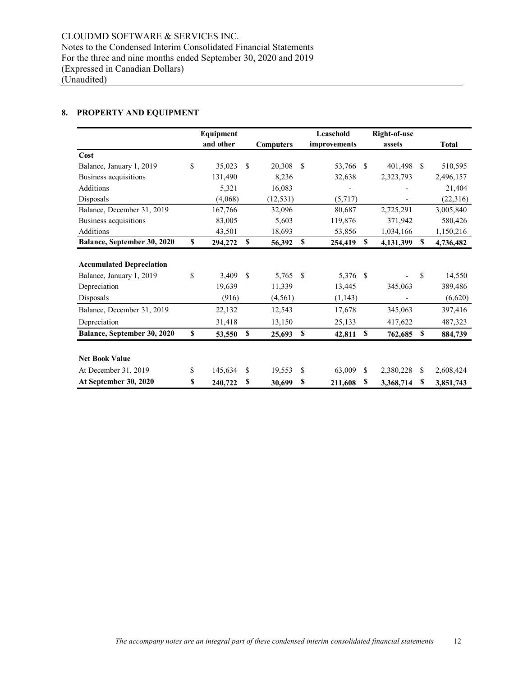## **8. PROPERTY AND EQUIPMENT**

|                                 | Equipment     |               |                  |     | Leasehold    |               | <b>Right-of-use</b> |               |              |
|---------------------------------|---------------|---------------|------------------|-----|--------------|---------------|---------------------|---------------|--------------|
|                                 | and other     |               | <b>Computers</b> |     | improvements |               | assets              |               | <b>Total</b> |
| Cost                            |               |               |                  |     |              |               |                     |               |              |
| Balance, January 1, 2019        | \$<br>35,023  | \$.           | 20,308           | \$. | 53,766       | -S            | 401,498             | <sup>\$</sup> | 510,595      |
| Business acquisitions           | 131,490       |               | 8,236            |     | 32,638       |               | 2,323,793           |               | 2,496,157    |
| Additions                       | 5,321         |               | 16,083           |     |              |               |                     |               | 21,404       |
| Disposals                       | (4,068)       |               | (12, 531)        |     | (5,717)      |               |                     |               | (22,316)     |
| Balance, December 31, 2019      | 167,766       |               | 32,096           |     | 80,687       |               | 2,725,291           |               | 3,005,840    |
| Business acquisitions           | 83,005        |               | 5,603            |     | 119,876      |               | 371,942             |               | 580,426      |
| Additions                       | 43,501        |               | 18,693           |     | 53,856       |               | 1,034,166           |               | 1,150,216    |
| Balance, September 30, 2020     | \$<br>294,272 | \$            | 56,392           | \$  | 254,419      | S             | 4,131,399           | \$            | 4,736,482    |
| <b>Accumulated Depreciation</b> |               |               |                  |     |              |               |                     |               |              |
| Balance, January 1, 2019        | \$<br>3,409   | <sup>\$</sup> | 5,765            | S   | 5,376        | $\mathcal{S}$ |                     | \$            | 14,550       |
| Depreciation                    | 19,639        |               | 11,339           |     | 13,445       |               | 345,063             |               | 389,486      |
| Disposals                       | (916)         |               | (4, 561)         |     | (1, 143)     |               |                     |               | (6,620)      |
| Balance, December 31, 2019      | 22,132        |               | 12,543           |     | 17,678       |               | 345,063             |               | 397,416      |
| Depreciation                    | 31,418        |               | 13,150           |     | 25,133       |               | 417,622             |               | 487,323      |
| Balance, September 30, 2020     | \$<br>53,550  | \$            | 25,693           | \$  | 42,811       | \$            | 762,685             | \$            | 884,739      |
|                                 |               |               |                  |     |              |               |                     |               |              |
| <b>Net Book Value</b>           |               |               |                  |     |              |               |                     |               |              |
| At December 31, 2019            | \$<br>145,634 | \$            | 19,553           | S   | 63,009       | <sup>\$</sup> | 2,380,228           | S             | 2,608,424    |
| At September 30, 2020           | \$<br>240,722 | \$            | 30,699           | \$  | 211,608      | \$            | 3,368,714           | S             | 3,851,743    |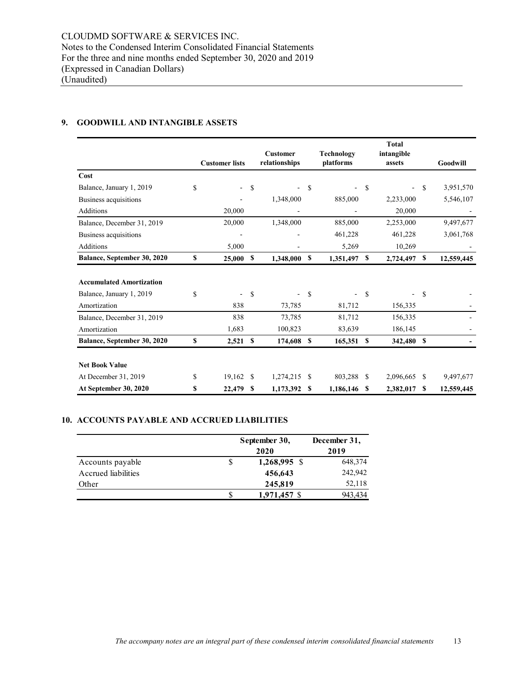## **9. GOODWILL AND INTANGIBLE ASSETS**

|                                 |                                |               | <b>Customer</b>          |               | Technology |    | <b>Total</b><br>intangible |     |            |
|---------------------------------|--------------------------------|---------------|--------------------------|---------------|------------|----|----------------------------|-----|------------|
|                                 | <b>Customer lists</b>          |               | relationships            |               | platforms  |    | assets                     |     | Goodwill   |
| Cost                            |                                |               |                          |               |            |    |                            |     |            |
| Balance, January 1, 2019        | \$<br>$\overline{\phantom{0}}$ | S             | ۰                        | S             |            | \$ | $\overline{\phantom{0}}$   | S   | 3,951,570  |
| Business acquisitions           |                                |               | 1,348,000                |               | 885,000    |    | 2,233,000                  |     | 5,546,107  |
| <b>Additions</b>                | 20,000                         |               |                          |               |            |    | 20,000                     |     |            |
| Balance, December 31, 2019      | 20,000                         |               | 1,348,000                |               | 885,000    |    | 2,253,000                  |     | 9,497,677  |
| Business acquisitions           | ٠                              |               |                          |               | 461,228    |    | 461,228                    |     | 3,061,768  |
| <b>Additions</b>                | 5,000                          |               |                          |               | 5,269      |    | 10,269                     |     |            |
| Balance, September 30, 2020     | \$<br>25,000 S                 |               | 1,348,000                | S             | 1,351,497  | \$ | 2,724,497                  | \$  | 12,559,445 |
| <b>Accumulated Amortization</b> |                                |               |                          |               |            |    |                            |     |            |
| Balance, January 1, 2019        | \$                             | \$            | $\overline{\phantom{0}}$ | <sup>\$</sup> |            | \$ |                            | \$  |            |
| Amortization                    | 838                            |               | 73,785                   |               | 81,712     |    | 156,335                    |     |            |
| Balance, December 31, 2019      | 838                            |               | 73,785                   |               | 81,712     |    | 156,335                    |     |            |
| Amortization                    | 1,683                          |               | 100,823                  |               | 83,639     |    | 186,145                    |     |            |
| Balance, September 30, 2020     | \$<br>2,521                    | <sup>\$</sup> | 174,608                  | S             | 165,351    | \$ | 342,480                    | \$  |            |
|                                 |                                |               |                          |               |            |    |                            |     |            |
| <b>Net Book Value</b>           |                                |               |                          |               |            |    |                            |     |            |
| At December 31, 2019            | \$<br>$19,162$ \$              |               | 1,274,215                | -S            | 803,288    | -S | 2,096,665                  | \$. | 9,497,677  |
| At September 30, 2020           | \$<br>22,479                   | -S            | 1,173,392                | S             | 1,186,146  | -S | 2,382,017                  | \$  | 12,559,445 |

## **10. ACCOUNTS PAYABLE AND ACCRUED LIABILITIES**

|                     | September 30, | December 31, |
|---------------------|---------------|--------------|
|                     | 2020          | 2019         |
| Accounts payable    | 1,268,995 \$  | 648,374      |
| Accrued liabilities | 456,643       | 242,942      |
| Other               | 245,819       | 52,118       |
|                     | 1,971,457 \$  | 943.434      |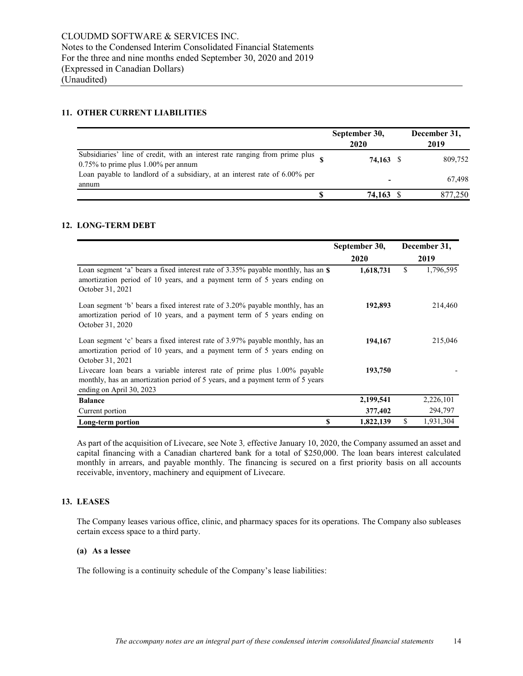## **11. OTHER CURRENT LIABILITIES**

|                                                                                                                       | September 30,<br>2020 | December 31,<br>2019 |
|-----------------------------------------------------------------------------------------------------------------------|-----------------------|----------------------|
| Subsidiaries' line of credit, with an interest rate ranging from prime plus<br>$0.75\%$ to prime plus 1.00% per annum | 74,163                | 809,752              |
| Loan payable to landlord of a subsidiary, at an interest rate of 6.00% per<br>annum                                   |                       | 67,498               |
|                                                                                                                       | 74.163                | 877,250              |

## **12. LONG-TERM DEBT**

|                                                                                                                                                                                       | September 30, | December 31,    |  |
|---------------------------------------------------------------------------------------------------------------------------------------------------------------------------------------|---------------|-----------------|--|
|                                                                                                                                                                                       | <b>2020</b>   | 2019            |  |
| Loan segment 'a' bears a fixed interest rate of 3.35% payable monthly, has an \$<br>amortization period of 10 years, and a payment term of 5 years ending on<br>October 31, 2021      | 1,618,731     | 1,796,595<br>\$ |  |
| Loan segment 'b' bears a fixed interest rate of 3.20% payable monthly, has an<br>amortization period of 10 years, and a payment term of 5 years ending on<br>October 31, 2020         | 192,893       | 214,460         |  |
| Loan segment 'c' bears a fixed interest rate of 3.97% payable monthly, has an<br>amortization period of 10 years, and a payment term of 5 years ending on<br>October 31, 2021         | 194,167       | 215,046         |  |
| Livecare loan bears a variable interest rate of prime plus 1.00% payable<br>monthly, has an amortization period of 5 years, and a payment term of 5 years<br>ending on April 30, 2023 | 193,750       |                 |  |
| <b>Balance</b>                                                                                                                                                                        | 2,199,541     | 2,226,101       |  |
| Current portion                                                                                                                                                                       | 377,402       | 294,797         |  |
| \$<br>Long-term portion                                                                                                                                                               | 1,822,139     | \$<br>1,931,304 |  |

As part of the acquisition of Livecare, see Note 3*,* effective January 10, 2020, the Company assumed an asset and capital financing with a Canadian chartered bank for a total of \$250,000. The loan bears interest calculated monthly in arrears, and payable monthly. The financing is secured on a first priority basis on all accounts receivable, inventory, machinery and equipment of Livecare.

## **13. LEASES**

The Company leases various office, clinic, and pharmacy spaces for its operations. The Company also subleases certain excess space to a third party.

## **(a) As a lessee**

The following is a continuity schedule of the Company's lease liabilities: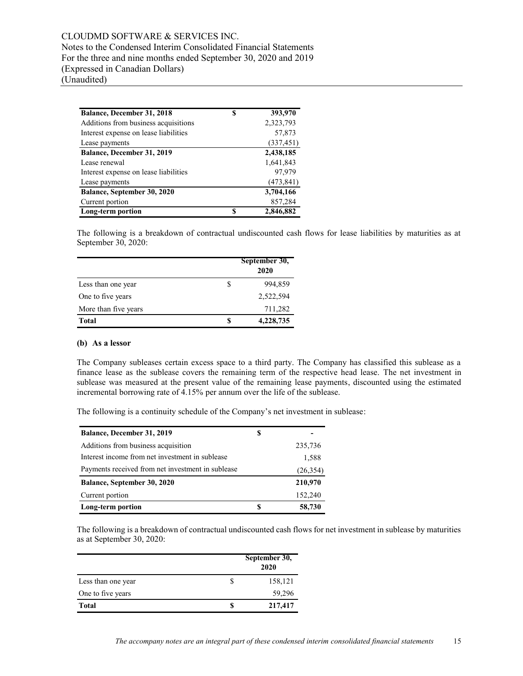| Balance, December 31, 2018            | S | 393,970    |
|---------------------------------------|---|------------|
| Additions from business acquisitions  |   | 2,323,793  |
| Interest expense on lease liabilities |   | 57,873     |
| Lease payments                        |   | (337, 451) |
| Balance, December 31, 2019            |   | 2,438,185  |
| Lease renewal                         |   | 1,641,843  |
| Interest expense on lease liabilities |   | 97,979     |
| Lease payments                        |   | (473, 841) |
| Balance, September 30, 2020           |   | 3,704,166  |
| Current portion                       |   | 857,284    |
| Long-term portion                     | S | 2,846,882  |

The following is a breakdown of contractual undiscounted cash flows for lease liabilities by maturities as at September 30, 2020:

|                      |   | September 30,<br>2020 |
|----------------------|---|-----------------------|
| Less than one year   | S | 994,859               |
| One to five years    |   | 2,522,594             |
| More than five years |   | 711,282               |
| Total                | S | 4,228,735             |

### **(b) As a lessor**

The Company subleases certain excess space to a third party. The Company has classified this sublease as a finance lease as the sublease covers the remaining term of the respective head lease. The net investment in sublease was measured at the present value of the remaining lease payments, discounted using the estimated incremental borrowing rate of 4.15% per annum over the life of the sublease.

The following is a continuity schedule of the Company's net investment in sublease:

| Balance, December 31, 2019                        | S |           |
|---------------------------------------------------|---|-----------|
| Additions from business acquisition               |   | 235,736   |
| Interest income from net investment in sublease   |   | 1,588     |
| Payments received from net investment in sublease |   | (26, 354) |
| Balance, September 30, 2020                       |   | 210,970   |
| Current portion                                   |   | 152,240   |
| Long-term portion                                 | S | 58,730    |

The following is a breakdown of contractual undiscounted cash flows for net investment in sublease by maturities as at September 30, 2020:

|                    | September 30,<br>2020 |
|--------------------|-----------------------|
| Less than one year | 158,121               |
| One to five years  | 59,296                |
| Total              | 217,417               |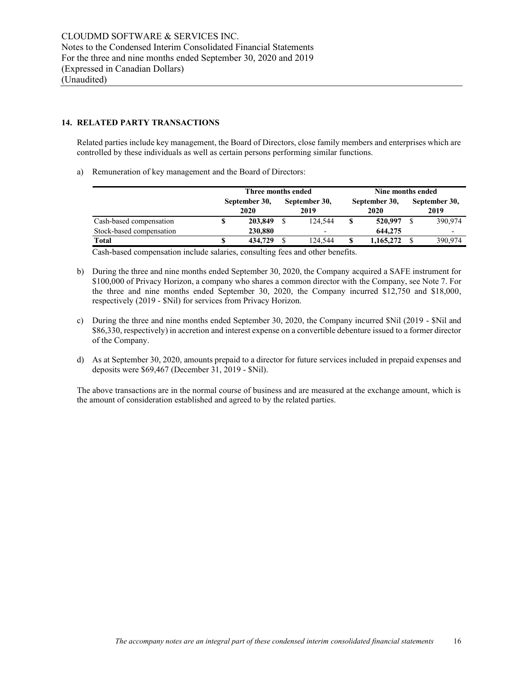## **14. RELATED PARTY TRANSACTIONS**

Related parties include key management, the Board of Directors, close family members and enterprises which are controlled by these individuals as well as certain persons performing similar functions.

a) Remuneration of key management and the Board of Directors:

|                          |   | Three months ended    |  |                          | Nine months ended |                       |  |                       |
|--------------------------|---|-----------------------|--|--------------------------|-------------------|-----------------------|--|-----------------------|
|                          |   | September 30,<br>2020 |  | September 30,<br>2019    |                   | September 30,<br>2020 |  | September 30,<br>2019 |
| Cash-based compensation  | S | 203,849               |  | 124.544                  | S                 | 520,997               |  | 390.974               |
| Stock-based compensation |   | 230,880               |  | $\overline{\phantom{0}}$ |                   | 644,275               |  |                       |
| Total                    | S | 434,729               |  | 124.544                  | S                 | 1,165,272             |  | 390,974               |

Cash-based compensation include salaries, consulting fees and other benefits.

- b) During the three and nine months ended September 30, 2020, the Company acquired a SAFE instrument for \$100,000 of Privacy Horizon, a company who shares a common director with the Company, see Note 7. For the three and nine months ended September 30, 2020, the Company incurred \$12,750 and \$18,000, respectively (2019 - \$Nil) for services from Privacy Horizon.
- c) During the three and nine months ended September 30, 2020, the Company incurred \$Nil (2019 \$Nil and \$86,330, respectively) in accretion and interest expense on a convertible debenture issued to a former director of the Company.
- d) As at September 30, 2020, amounts prepaid to a director for future services included in prepaid expenses and deposits were \$69,467 (December 31, 2019 - \$Nil).

The above transactions are in the normal course of business and are measured at the exchange amount, which is the amount of consideration established and agreed to by the related parties.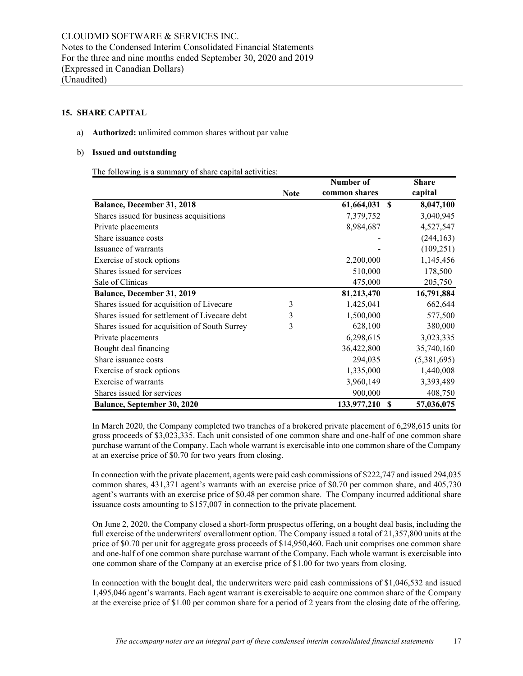## **15. SHARE CAPITAL**

#### a) **Authorized:** unlimited common shares without par value

#### b) **Issued and outstanding**

The following is a summary of share capital activities:

|                                               |             | Number of              | <b>Share</b> |
|-----------------------------------------------|-------------|------------------------|--------------|
|                                               | <b>Note</b> | common shares          | capital      |
| Balance, December 31, 2018                    |             | <b>S</b><br>61,664,031 | 8,047,100    |
| Shares issued for business acquisitions       |             | 7,379,752              | 3,040,945    |
| Private placements                            |             | 8,984,687              | 4,527,547    |
| Share issuance costs                          |             |                        | (244, 163)   |
| Issuance of warrants                          |             |                        | (109, 251)   |
| Exercise of stock options                     |             | 2,200,000              | 1,145,456    |
| Shares issued for services                    |             | 510,000                | 178,500      |
| Sale of Clinicas                              |             | 475,000                | 205,750      |
| Balance, December 31, 2019                    |             | 81,213,470             | 16,791,884   |
| Shares issued for acquisition of Livecare     | 3           | 1,425,041              | 662,644      |
| Shares issued for settlement of Livecare debt | 3           | 1,500,000              | 577,500      |
| Shares issued for acquisition of South Surrey | 3           | 628,100                | 380,000      |
| Private placements                            |             | 6,298,615              | 3,023,335    |
| Bought deal financing                         |             | 36,422,800             | 35,740,160   |
| Share issuance costs                          |             | 294,035                | (5,381,695)  |
| Exercise of stock options                     |             | 1,335,000              | 1,440,008    |
| Exercise of warrants                          |             | 3,960,149              | 3,393,489    |
| Shares issued for services                    |             | 900,000                | 408,750      |
| Balance, September 30, 2020                   |             | 133,977,210<br>-S      | 57,036,075   |

In March 2020, the Company completed two tranches of a brokered private placement of 6,298,615 units for gross proceeds of \$3,023,335. Each unit consisted of one common share and one-half of one common share purchase warrant of the Company. Each whole warrant is exercisable into one common share of the Company at an exercise price of \$0.70 for two years from closing.

In connection with the private placement, agents were paid cash commissions of \$222,747 and issued 294,035 common shares, 431,371 agent's warrants with an exercise price of \$0.70 per common share, and 405,730 agent's warrants with an exercise price of \$0.48 per common share. The Company incurred additional share issuance costs amounting to \$157,007 in connection to the private placement.

On June 2, 2020, the Company closed a short-form prospectus offering, on a bought deal basis, including the full exercise of the underwriters' overallotment option. The Company issued a total of 21,357,800 units at the price of \$0.70 per unit for aggregate gross proceeds of \$14,950,460. Each unit comprises one common share and one-half of one common share purchase warrant of the Company. Each whole warrant is exercisable into one common share of the Company at an exercise price of \$1.00 for two years from closing.

In connection with the bought deal, the underwriters were paid cash commissions of \$1,046,532 and issued 1,495,046 agent's warrants. Each agent warrant is exercisable to acquire one common share of the Company at the exercise price of \$1.00 per common share for a period of 2 years from the closing date of the offering.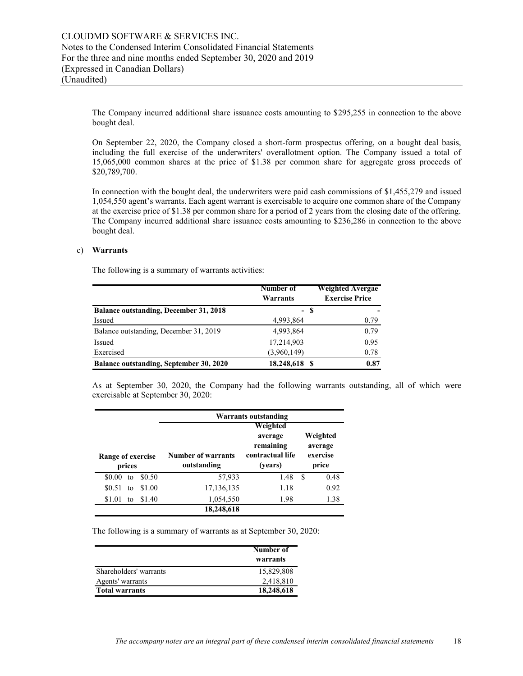The Company incurred additional share issuance costs amounting to \$295,255 in connection to the above bought deal.

On September 22, 2020, the Company closed a short-form prospectus offering, on a bought deal basis, including the full exercise of the underwriters' overallotment option. The Company issued a total of 15,065,000 common shares at the price of \$1.38 per common share for aggregate gross proceeds of \$20,789,700.

In connection with the bought deal, the underwriters were paid cash commissions of \$1,455,279 and issued 1,054,550 agent's warrants. Each agent warrant is exercisable to acquire one common share of the Company at the exercise price of \$1.38 per common share for a period of 2 years from the closing date of the offering. The Company incurred additional share issuance costs amounting to \$236,286 in connection to the above bought deal.

### c) **Warrants**

The following is a summary of warrants activities:

|                                               | Number of<br>Warrants | Weighted Avergae<br><b>Exercise Price</b> |
|-----------------------------------------------|-----------------------|-------------------------------------------|
| <b>Balance outstanding, December 31, 2018</b> | - \$                  |                                           |
| Issued                                        | 4,993,864             | 0.79                                      |
| Balance outstanding, December 31, 2019        | 4,993,864             | 0.79                                      |
| Issued                                        | 17,214,903            | 0.95                                      |
| Exercised                                     | (3,960,149)           | 0.78                                      |
| Balance outstanding, September 30, 2020       | 18,248,618 \$         | 0.87                                      |

As at September 30, 2020, the Company had the following warrants outstanding, all of which were exercisable at September 30, 2020:

| Warrants outstanding        |                                   |                                          |                              |  |
|-----------------------------|-----------------------------------|------------------------------------------|------------------------------|--|
|                             |                                   | Weighted                                 |                              |  |
|                             |                                   | average                                  | Weighted                     |  |
| Range of exercise<br>prices | Number of warrants<br>outstanding | remaining<br>contractual life<br>(years) | average<br>exercise<br>price |  |
| \$0.50<br>\$0.00<br>tο      | 57,933                            | 1.48                                     | S<br>0.48                    |  |
| \$1.00<br>\$0.51<br>to      | 17,136,135                        | 1.18                                     | 0.92                         |  |
| \$1.40<br>\$1.01<br>to      | 1,054,550                         | 1.98                                     | 1.38                         |  |
|                             | 18,248,618                        |                                          |                              |  |

The following is a summary of warrants as at September 30, 2020:

|                        | Number of<br>warrants |
|------------------------|-----------------------|
| Shareholders' warrants | 15,829,808            |
| Agents' warrants       | 2,418,810             |
| <b>Total warrants</b>  | 18,248,618            |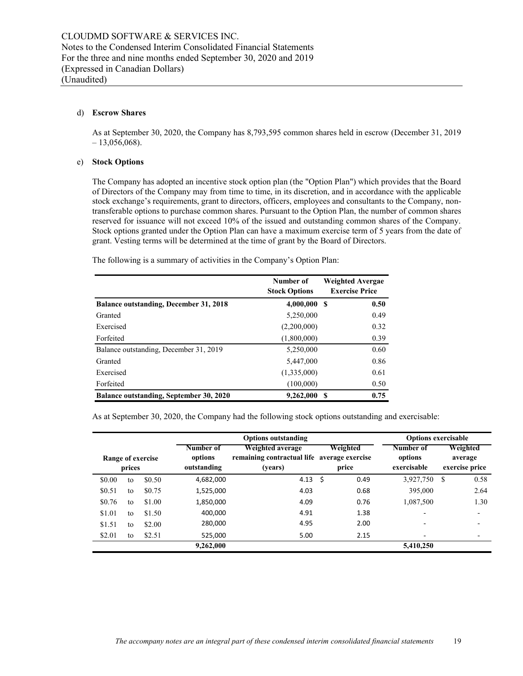#### d) **Escrow Shares**

As at September 30, 2020, the Company has 8,793,595 common shares held in escrow (December 31, 2019  $-13,056,068$ ).

#### e) **Stock Options**

The Company has adopted an incentive stock option plan (the "Option Plan") which provides that the Board of Directors of the Company may from time to time, in its discretion, and in accordance with the applicable stock exchange's requirements, grant to directors, officers, employees and consultants to the Company, nontransferable options to purchase common shares. Pursuant to the Option Plan, the number of common shares reserved for issuance will not exceed 10% of the issued and outstanding common shares of the Company. Stock options granted under the Option Plan can have a maximum exercise term of 5 years from the date of grant. Vesting terms will be determined at the time of grant by the Board of Directors.

|                                               | Number of<br><b>Stock Options</b> | <b>Weighted Avergae</b><br><b>Exercise Price</b> |
|-----------------------------------------------|-----------------------------------|--------------------------------------------------|
| <b>Balance outstanding, December 31, 2018</b> | 4,000,000                         | 0.50<br>- S                                      |
| Granted                                       | 5,250,000                         | 0.49                                             |
| Exercised                                     | (2,200,000)                       | 0.32                                             |
| Forfeited                                     | (1,800,000)                       | 0.39                                             |
| Balance outstanding, December 31, 2019        | 5,250,000                         | 0.60                                             |
| Granted                                       | 5,447,000                         | 0.86                                             |
| Exercised                                     | (1,335,000)                       | 0.61                                             |
| Forfeited                                     | (100,000)                         | 0.50                                             |

**Balance outstanding, September 30, 2020** 9,262,000 \$ 0.75

The following is a summary of activities in the Company's Option Plan:

As at September 30, 2020, the Company had the following stock options outstanding and exercisable:

|                             | <b>Options outstanding</b> |        |                                     |                                                                            |                   | <b>Options exercisable</b> |                                     |                                       |  |
|-----------------------------|----------------------------|--------|-------------------------------------|----------------------------------------------------------------------------|-------------------|----------------------------|-------------------------------------|---------------------------------------|--|
| Range of exercise<br>prices |                            |        | Number of<br>options<br>outstanding | Weighted average<br>remaining contractual life average exercise<br>(years) | Weighted<br>price |                            | Number of<br>options<br>exercisable | Weighted<br>average<br>exercise price |  |
| \$0.00                      | to                         | \$0.50 | 4,682,000                           | 4.13                                                                       | \$.               | 0.49                       | 3,927,750                           | 0.58<br>S                             |  |
| \$0.51                      | to                         | \$0.75 | 1,525,000                           | 4.03                                                                       |                   | 0.68                       | 395,000                             | 2.64                                  |  |
| \$0.76                      | to                         | \$1.00 | 1,850,000                           | 4.09                                                                       |                   | 0.76                       | 1,087,500                           | 1.30                                  |  |
| \$1.01                      | to                         | \$1.50 | 400.000                             | 4.91                                                                       |                   | 1.38                       | $\overline{\phantom{a}}$            | $\overline{\phantom{0}}$              |  |
| \$1.51                      | to                         | \$2.00 | 280,000                             | 4.95                                                                       |                   | 2.00                       |                                     |                                       |  |
| \$2.01                      | to                         | \$2.51 | 525,000                             | 5.00                                                                       |                   | 2.15                       | $\overline{\phantom{a}}$            | $\overline{\phantom{a}}$              |  |
|                             |                            |        | 9,262,000                           |                                                                            |                   |                            | 5,410,250                           |                                       |  |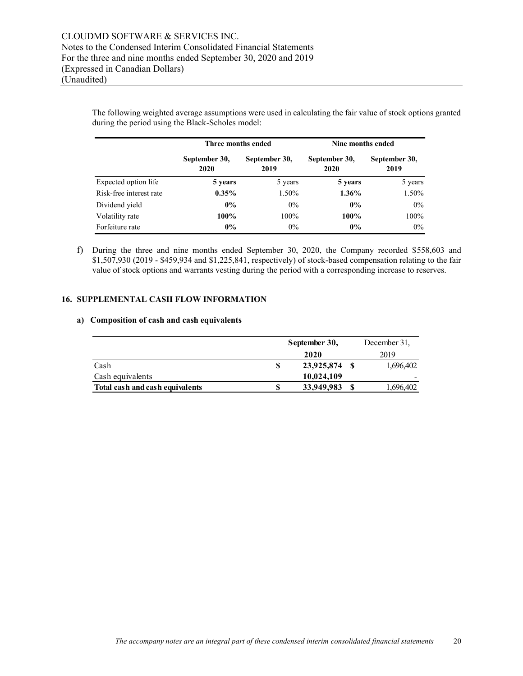The following weighted average assumptions were used in calculating the fair value of stock options granted during the period using the Black-Scholes model:

|                         | Three months ended    |                       | Nine months ended     |                       |  |
|-------------------------|-----------------------|-----------------------|-----------------------|-----------------------|--|
|                         | September 30,<br>2020 | September 30,<br>2019 | September 30,<br>2020 | September 30,<br>2019 |  |
| Expected option life    | 5 years               | 5 years               | 5 years               | 5 years               |  |
| Risk-free interest rate | $0.35\%$              | 1.50%                 | $1.36\%$              | 1.50%                 |  |
| Dividend yield          | $0\%$                 | $0\%$                 | $0\%$                 | $0\%$                 |  |
| Volatility rate         | 100%                  | 100%                  | 100%                  | $100\%$               |  |
| Forfeiture rate         | $0\%$                 | $0\%$                 | $0\%$                 | $0\%$                 |  |

f) During the three and nine months ended September 30, 2020, the Company recorded \$558,603 and \$1,507,930 (2019 - \$459,934 and \$1,225,841, respectively) of stock-based compensation relating to the fair value of stock options and warrants vesting during the period with a corresponding increase to reserves.

### **16. SUPPLEMENTAL CASH FLOW INFORMATION**

#### **a) Composition of cash and cash equivalents**

|                                 | September 30, |            | December 31, |           |
|---------------------------------|---------------|------------|--------------|-----------|
|                                 |               | 2020       |              | 2019      |
| Cash                            | S             | 23,925,874 |              | 1,696,402 |
| Cash equivalents                |               | 10,024,109 |              | -         |
| Total cash and cash equivalents |               | 33,949,983 |              | 1,696,402 |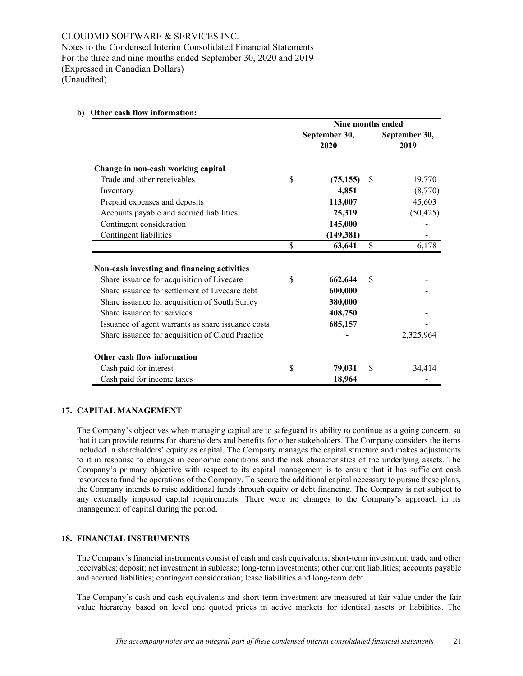|                                                                                                                                                                                                                                                                                                                                        |                         | Nine months ended                                   |          |                       |
|----------------------------------------------------------------------------------------------------------------------------------------------------------------------------------------------------------------------------------------------------------------------------------------------------------------------------------------|-------------------------|-----------------------------------------------------|----------|-----------------------|
|                                                                                                                                                                                                                                                                                                                                        |                         | September 30,<br>2020                               |          | September 30,<br>2019 |
| Change in non-cash working capital                                                                                                                                                                                                                                                                                                     |                         |                                                     |          |                       |
| Trade and other receivables                                                                                                                                                                                                                                                                                                            | \$                      | (75, 155)                                           | <b>S</b> | 19,770                |
| Inventory                                                                                                                                                                                                                                                                                                                              |                         | 4,851                                               |          | (8,770)               |
| Prepaid expenses and deposits                                                                                                                                                                                                                                                                                                          |                         | 113,007                                             |          | 45,603                |
| Accounts payable and accrued liabilities                                                                                                                                                                                                                                                                                               |                         | 25,319                                              |          | (50, 425)             |
| Contingent consideration                                                                                                                                                                                                                                                                                                               |                         | 145,000                                             |          |                       |
| Contingent liabilities                                                                                                                                                                                                                                                                                                                 |                         | (149, 381)                                          |          |                       |
|                                                                                                                                                                                                                                                                                                                                        | $\overline{\mathsf{S}}$ | 63,641                                              | \$       | 6,178                 |
| Non-cash investing and financing activities<br>Share issuance for acquisition of Livecare<br>Share issuance for settlement of Livecare debt<br>Share issuance for acquisition of South Surrey<br>Share issuance for services<br>Issuance of agent warrants as share issuance costs<br>Share issuance for acquisition of Cloud Practice |                         | 662,644<br>600,000<br>380,000<br>408,750<br>685,157 | \$       | 2,325,964             |
| Other cash flow information                                                                                                                                                                                                                                                                                                            |                         |                                                     |          |                       |
| Cash paid for interest                                                                                                                                                                                                                                                                                                                 | \$                      | 79,031                                              | \$       | 34,414                |
| Cash paid for income taxes                                                                                                                                                                                                                                                                                                             |                         | 18,964                                              |          |                       |

## **b) Other cash flow information:**

## **17. CAPITAL MANAGEMENT**

The Company's objectives when managing capital are to safeguard its ability to continue as a going concern, so that it can provide returns for shareholders and benefits for other stakeholders. The Company considers the items included in shareholders' equity as capital. The Company manages the capital structure and makes adjustments to it in response to changes in economic conditions and the risk characteristics of the underlying assets. The Company's primary objective with respect to its capital management is to ensure that it has sufficient cash resources to fund the operations of the Company. To secure the additional capital necessary to pursue these plans, the Company intends to raise additional funds through equity or debt financing. The Company is not subject to any externally imposed capital requirements. There were no changes to the Company's approach in its management of capital during the period.

#### **18. FINANCIAL INSTRUMENTS**

The Company's financial instruments consist of cash and cash equivalents; short-term investment; trade and other receivables; deposit; net investment in sublease; long-term investments; other current liabilities; accounts payable and accrued liabilities; contingent consideration; lease liabilities and long-term debt.

The Company's cash and cash equivalents and short-term investment are measured at fair value under the fair value hierarchy based on level one quoted prices in active markets for identical assets or liabilities. The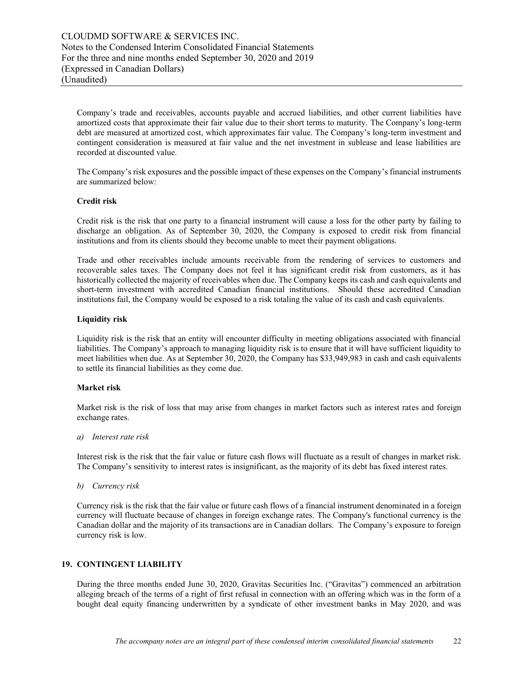Company's trade and receivables, accounts payable and accrued liabilities, and other current liabilities have amortized costs that approximate their fair value due to their short terms to maturity. The Company's long-term debt are measured at amortized cost, which approximates fair value. The Company's long-term investment and contingent consideration is measured at fair value and the net investment in sublease and lease liabilities are recorded at discounted value.

The Company's risk exposures and the possible impact of these expenses on the Company's financial instruments are summarized below:

### **Credit risk**

Credit risk is the risk that one party to a financial instrument will cause a loss for the other party by failing to discharge an obligation. As of September 30, 2020, the Company is exposed to credit risk from financial institutions and from its clients should they become unable to meet their payment obligations.

Trade and other receivables include amounts receivable from the rendering of services to customers and recoverable sales taxes. The Company does not feel it has significant credit risk from customers, as it has historically collected the majority of receivables when due. The Company keeps its cash and cash equivalents and short-term investment with accredited Canadian financial institutions. Should these accredited Canadian institutions fail, the Company would be exposed to a risk totaling the value of its cash and cash equivalents.

### **Liquidity risk**

Liquidity risk is the risk that an entity will encounter difficulty in meeting obligations associated with financial liabilities. The Company's approach to managing liquidity risk is to ensure that it will have sufficient liquidity to meet liabilities when due. As at September 30, 2020, the Company has \$33,949,983 in cash and cash equivalents to settle its financial liabilities as they come due.

## **Market risk**

Market risk is the risk of loss that may arise from changes in market factors such as interest rates and foreign exchange rates.

*a) Interest rate risk* 

Interest risk is the risk that the fair value or future cash flows will fluctuate as a result of changes in market risk. The Company's sensitivity to interest rates is insignificant, as the majority of its debt has fixed interest rates.

*b) Currency risk* 

Currency risk is the risk that the fair value or future cash flows of a financial instrument denominated in a foreign currency will fluctuate because of changes in foreign exchange rates. The Company's functional currency is the Canadian dollar and the majority of its transactions are in Canadian dollars. The Company's exposure to foreign currency risk is low.

## **19. CONTINGENT LIABILITY**

During the three months ended June 30, 2020, Gravitas Securities Inc. ("Gravitas") commenced an arbitration alleging breach of the terms of a right of first refusal in connection with an offering which was in the form of a bought deal equity financing underwritten by a syndicate of other investment banks in May 2020, and was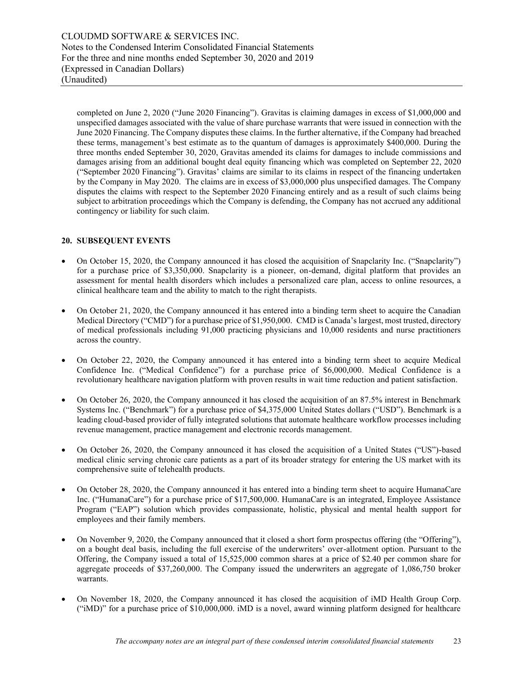completed on June 2, 2020 ("June 2020 Financing"). Gravitas is claiming damages in excess of \$1,000,000 and unspecified damages associated with the value of share purchase warrants that were issued in connection with the June 2020 Financing. The Company disputes these claims. In the further alternative, if the Company had breached these terms, management's best estimate as to the quantum of damages is approximately \$400,000. During the three months ended September 30, 2020, Gravitas amended its claims for damages to include commissions and damages arising from an additional bought deal equity financing which was completed on September 22, 2020 ("September 2020 Financing"). Gravitas' claims are similar to its claims in respect of the financing undertaken by the Company in May 2020. The claims are in excess of \$3,000,000 plus unspecified damages. The Company disputes the claims with respect to the September 2020 Financing entirely and as a result of such claims being subject to arbitration proceedings which the Company is defending, the Company has not accrued any additional contingency or liability for such claim.

## **20. SUBSEQUENT EVENTS**

- On October 15, 2020, the Company announced it has closed the acquisition of Snapclarity Inc. ("Snapclarity") for a purchase price of \$3,350,000. Snapclarity is a pioneer, on-demand, digital platform that provides an assessment for mental health disorders which includes a personalized care plan, access to online resources, a clinical healthcare team and the ability to match to the right therapists.
- On October 21, 2020, the Company announced it has entered into a binding term sheet to acquire the Canadian Medical Directory ("CMD") for a purchase price of \$1,950,000. CMD is Canada's largest, most trusted, directory of medical professionals including 91,000 practicing physicians and 10,000 residents and nurse practitioners across the country.
- On October 22, 2020, the Company announced it has entered into a binding term sheet to acquire Medical Confidence Inc. ("Medical Confidence") for a purchase price of \$6,000,000. Medical Confidence is a revolutionary healthcare navigation platform with proven results in wait time reduction and patient satisfaction.
- On October 26, 2020, the Company announced it has closed the acquisition of an 87.5% interest in Benchmark Systems Inc. ("Benchmark") for a purchase price of \$4,375,000 United States dollars ("USD"). Benchmark is a leading cloud-based provider of fully integrated solutions that automate healthcare workflow processes including revenue management, practice management and electronic records management.
- On October 26, 2020, the Company announced it has closed the acquisition of a United States ("US")-based medical clinic serving chronic care patients as a part of its broader strategy for entering the US market with its comprehensive suite of telehealth products.
- On October 28, 2020, the Company announced it has entered into a binding term sheet to acquire HumanaCare Inc. ("HumanaCare") for a purchase price of \$17,500,000. HumanaCare is an integrated, Employee Assistance Program ("EAP") solution which provides compassionate, holistic, physical and mental health support for employees and their family members.
- On November 9, 2020, the Company announced that it closed a short form prospectus offering (the "Offering"), on a bought deal basis, including the full exercise of the underwriters' over-allotment option. Pursuant to the Offering, the Company issued a total of 15,525,000 common shares at a price of \$2.40 per common share for aggregate proceeds of \$37,260,000. The Company issued the underwriters an aggregate of 1,086,750 broker warrants.
- On November 18, 2020, the Company announced it has closed the acquisition of iMD Health Group Corp. ("iMD)" for a purchase price of \$10,000,000. iMD is a novel, award winning platform designed for healthcare